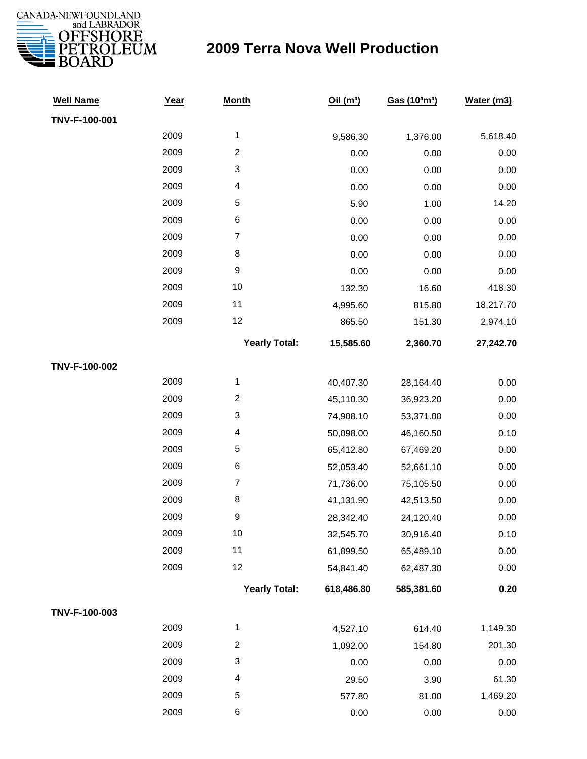

| <b>Well Name</b> | Year | <b>Month</b>            | Oil(m <sup>3</sup> ) | Gas (103m3) | Water (m3) |
|------------------|------|-------------------------|----------------------|-------------|------------|
| TNV-F-100-001    |      |                         |                      |             |            |
|                  | 2009 | 1                       | 9,586.30             | 1,376.00    | 5,618.40   |
|                  | 2009 | $\overline{c}$          | 0.00                 | 0.00        | 0.00       |
|                  | 2009 | 3                       | 0.00                 | 0.00        | 0.00       |
|                  | 2009 | 4                       | 0.00                 | 0.00        | 0.00       |
|                  | 2009 | $\mathbf 5$             | 5.90                 | 1.00        | 14.20      |
|                  | 2009 | $\,6$                   | 0.00                 | 0.00        | 0.00       |
|                  | 2009 | $\overline{7}$          | 0.00                 | 0.00        | 0.00       |
|                  | 2009 | $\,8\,$                 | 0.00                 | 0.00        | 0.00       |
|                  | 2009 | $\boldsymbol{9}$        | 0.00                 | 0.00        | 0.00       |
|                  | 2009 | 10                      | 132.30               | 16.60       | 418.30     |
|                  | 2009 | 11                      | 4,995.60             | 815.80      | 18,217.70  |
|                  | 2009 | 12                      | 865.50               | 151.30      | 2,974.10   |
|                  |      | <b>Yearly Total:</b>    | 15,585.60            | 2,360.70    | 27,242.70  |
| TNV-F-100-002    |      |                         |                      |             |            |
|                  | 2009 | $\mathbf 1$             | 40,407.30            | 28,164.40   | 0.00       |
|                  | 2009 | $\overline{\mathbf{c}}$ | 45,110.30            | 36,923.20   | 0.00       |
|                  | 2009 | 3                       | 74,908.10            | 53,371.00   | 0.00       |
|                  | 2009 | 4                       | 50,098.00            | 46,160.50   | 0.10       |
|                  | 2009 | 5                       | 65,412.80            | 67,469.20   | 0.00       |
|                  | 2009 | $\,6$                   | 52,053.40            | 52,661.10   | 0.00       |
|                  | 2009 | $\boldsymbol{7}$        | 71,736.00            | 75,105.50   | 0.00       |
|                  | 2009 | 8                       | 41,131.90            | 42,513.50   | 0.00       |
|                  | 2009 | 9                       | 28,342.40            | 24,120.40   | 0.00       |
|                  | 2009 | 10                      | 32,545.70            | 30,916.40   | 0.10       |
|                  | 2009 | 11                      | 61,899.50            | 65,489.10   | 0.00       |
|                  | 2009 | 12                      | 54,841.40            | 62,487.30   | 0.00       |
|                  |      | <b>Yearly Total:</b>    | 618,486.80           | 585,381.60  | 0.20       |
| TNV-F-100-003    |      |                         |                      |             |            |
|                  | 2009 | 1                       | 4,527.10             | 614.40      | 1,149.30   |
|                  | 2009 | $\overline{c}$          | 1,092.00             | 154.80      | 201.30     |
|                  | 2009 | 3                       | 0.00                 | 0.00        | 0.00       |
|                  | 2009 | 4                       | 29.50                | 3.90        | 61.30      |
|                  | 2009 | $\,$ 5 $\,$             | 577.80               | 81.00       | 1,469.20   |
|                  | 2009 | 6                       | 0.00                 | 0.00        | 0.00       |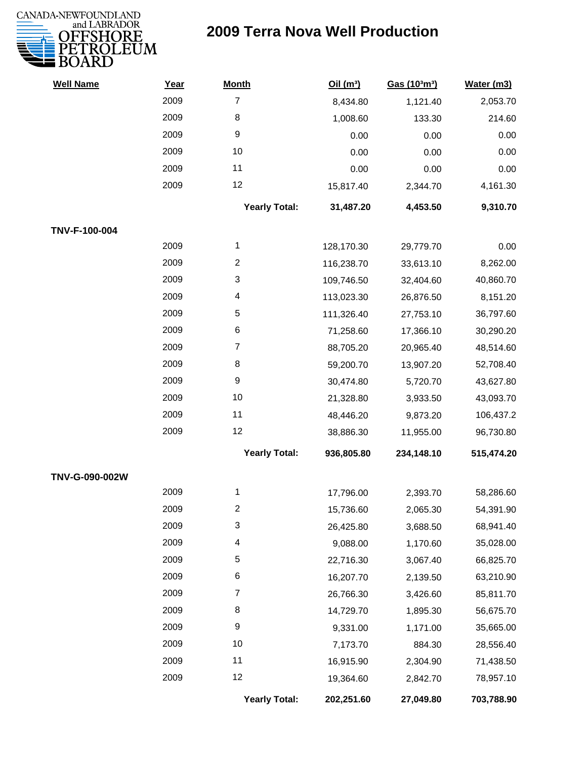

| <b>Well Name</b> | Year | <b>Month</b>         | Oil(m <sup>3</sup> ) | Gas (103m3) | Water (m3) |
|------------------|------|----------------------|----------------------|-------------|------------|
|                  | 2009 | $\overline{7}$       | 8,434.80             | 1,121.40    | 2,053.70   |
|                  | 2009 | 8                    | 1,008.60             | 133.30      | 214.60     |
|                  | 2009 | 9                    | 0.00                 | 0.00        | 0.00       |
|                  | 2009 | 10                   | 0.00                 | 0.00        | 0.00       |
|                  | 2009 | 11                   | 0.00                 | 0.00        | 0.00       |
|                  | 2009 | 12                   | 15,817.40            | 2,344.70    | 4,161.30   |
|                  |      | <b>Yearly Total:</b> | 31,487.20            | 4,453.50    | 9,310.70   |
| TNV-F-100-004    |      |                      |                      |             |            |
|                  | 2009 | 1                    | 128,170.30           | 29,779.70   | 0.00       |
|                  | 2009 | $\overline{2}$       | 116,238.70           | 33,613.10   | 8,262.00   |
|                  | 2009 | 3                    | 109,746.50           | 32,404.60   | 40,860.70  |
|                  | 2009 | 4                    | 113,023.30           | 26,876.50   | 8,151.20   |
|                  | 2009 | 5                    | 111,326.40           | 27,753.10   | 36,797.60  |
|                  | 2009 | 6                    | 71,258.60            | 17,366.10   | 30,290.20  |
|                  | 2009 | $\overline{7}$       | 88,705.20            | 20,965.40   | 48,514.60  |
|                  | 2009 | 8                    | 59,200.70            | 13,907.20   | 52,708.40  |
|                  | 2009 | 9                    | 30,474.80            | 5,720.70    | 43,627.80  |
|                  | 2009 | 10                   | 21,328.80            | 3,933.50    | 43,093.70  |
|                  | 2009 | 11                   | 48,446.20            | 9,873.20    | 106,437.2  |
|                  | 2009 | 12                   | 38,886.30            | 11,955.00   | 96,730.80  |
|                  |      | <b>Yearly Total:</b> | 936,805.80           | 234,148.10  | 515,474.20 |
| TNV-G-090-002W   |      |                      |                      |             |            |
|                  | 2009 | 1                    | 17,796.00            | 2,393.70    | 58,286.60  |
|                  | 2009 | 2                    | 15,736.60            | 2,065.30    | 54,391.90  |
|                  | 2009 | 3                    | 26,425.80            | 3,688.50    | 68,941.40  |
|                  | 2009 | 4                    | 9,088.00             | 1,170.60    | 35,028.00  |
|                  | 2009 | 5                    | 22,716.30            | 3,067.40    | 66,825.70  |
|                  | 2009 | 6                    | 16,207.70            | 2,139.50    | 63,210.90  |
|                  | 2009 | 7                    | 26,766.30            | 3,426.60    | 85,811.70  |
|                  | 2009 | 8                    | 14,729.70            | 1,895.30    | 56,675.70  |
|                  | 2009 | 9                    | 9,331.00             | 1,171.00    | 35,665.00  |
|                  | 2009 | 10                   | 7,173.70             | 884.30      | 28,556.40  |
|                  | 2009 | 11                   | 16,915.90            | 2,304.90    | 71,438.50  |
|                  | 2009 | 12                   | 19,364.60            | 2,842.70    | 78,957.10  |
|                  |      | <b>Yearly Total:</b> | 202,251.60           | 27,049.80   | 703,788.90 |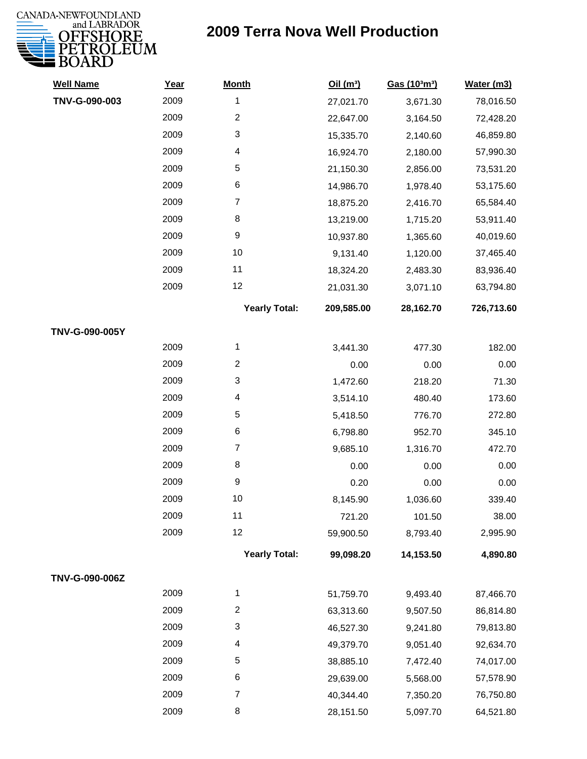

| <b>Well Name</b> | Year | <b>Month</b>         | Oil(m <sup>3</sup> ) | Gas (103m3) | Water (m3) |
|------------------|------|----------------------|----------------------|-------------|------------|
| TNV-G-090-003    | 2009 | 1                    | 27,021.70            | 3,671.30    | 78,016.50  |
|                  | 2009 | $\overline{c}$       | 22,647.00            | 3,164.50    | 72,428.20  |
|                  | 2009 | 3                    | 15,335.70            | 2,140.60    | 46,859.80  |
|                  | 2009 | 4                    | 16,924.70            | 2,180.00    | 57,990.30  |
|                  | 2009 | 5                    | 21,150.30            | 2,856.00    | 73,531.20  |
|                  | 2009 | 6                    | 14,986.70            | 1,978.40    | 53,175.60  |
|                  | 2009 | $\overline{7}$       | 18,875.20            | 2,416.70    | 65,584.40  |
|                  | 2009 | 8                    | 13,219.00            | 1,715.20    | 53,911.40  |
|                  | 2009 | 9                    | 10,937.80            | 1,365.60    | 40,019.60  |
|                  | 2009 | 10                   | 9,131.40             | 1,120.00    | 37,465.40  |
|                  | 2009 | 11                   | 18,324.20            | 2,483.30    | 83,936.40  |
|                  | 2009 | 12                   | 21,031.30            | 3,071.10    | 63,794.80  |
|                  |      | <b>Yearly Total:</b> | 209,585.00           | 28,162.70   | 726,713.60 |
| TNV-G-090-005Y   |      |                      |                      |             |            |
|                  | 2009 | 1                    | 3,441.30             | 477.30      | 182.00     |
|                  | 2009 | $\overline{2}$       | 0.00                 | 0.00        | 0.00       |
|                  | 2009 | 3                    | 1,472.60             | 218.20      | 71.30      |
|                  | 2009 | 4                    | 3,514.10             | 480.40      | 173.60     |
|                  | 2009 | 5                    | 5,418.50             | 776.70      | 272.80     |
|                  | 2009 | 6                    | 6,798.80             | 952.70      | 345.10     |
|                  | 2009 | $\overline{7}$       | 9,685.10             | 1,316.70    | 472.70     |
|                  | 2009 | 8                    | 0.00                 | 0.00        | 0.00       |
|                  | 2009 | 9                    | 0.20                 | 0.00        | 0.00       |
|                  | 2009 | 10                   | 8,145.90             | 1,036.60    | 339.40     |
|                  | 2009 | 11                   | 721.20               | 101.50      | 38.00      |
|                  | 2009 | 12                   | 59,900.50            | 8,793.40    | 2,995.90   |
|                  |      | <b>Yearly Total:</b> | 99,098.20            | 14,153.50   | 4,890.80   |
| TNV-G-090-006Z   |      |                      |                      |             |            |
|                  | 2009 | 1                    | 51,759.70            | 9,493.40    | 87,466.70  |
|                  | 2009 | 2                    | 63,313.60            | 9,507.50    | 86,814.80  |
|                  | 2009 | 3                    | 46,527.30            | 9,241.80    | 79,813.80  |
|                  | 2009 | 4                    | 49,379.70            | 9,051.40    | 92,634.70  |
|                  | 2009 | 5                    | 38,885.10            | 7,472.40    | 74,017.00  |
|                  | 2009 | 6                    | 29,639.00            | 5,568.00    | 57,578.90  |
|                  | 2009 | $\overline{7}$       | 40,344.40            | 7,350.20    | 76,750.80  |
|                  | 2009 | 8                    | 28,151.50            | 5,097.70    | 64,521.80  |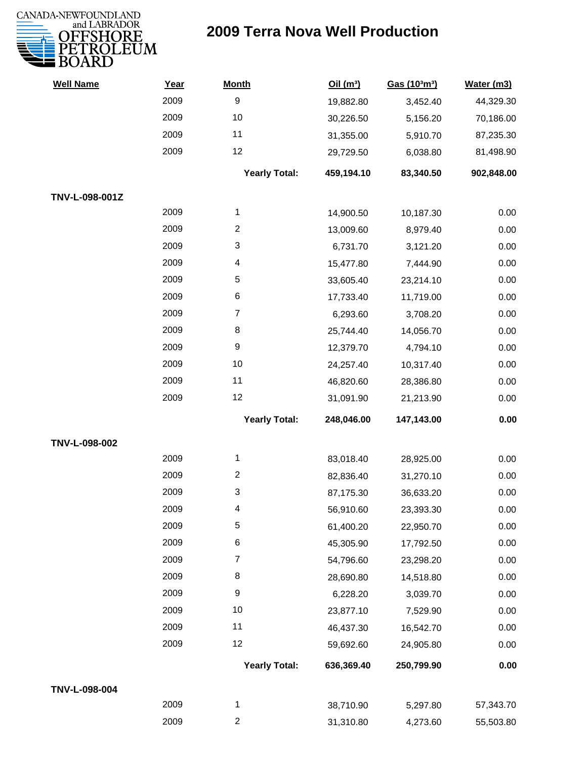

| <b>Well Name</b> | Year | <b>Month</b>         | Oil(m <sup>3</sup> ) | Gas (103m3) | Water (m3) |
|------------------|------|----------------------|----------------------|-------------|------------|
|                  | 2009 | $\boldsymbol{9}$     | 19,882.80            | 3,452.40    | 44,329.30  |
|                  | 2009 | 10                   | 30,226.50            | 5,156.20    | 70,186.00  |
|                  | 2009 | 11                   | 31,355.00            | 5,910.70    | 87,235.30  |
|                  | 2009 | 12                   | 29,729.50            | 6,038.80    | 81,498.90  |
|                  |      | <b>Yearly Total:</b> | 459,194.10           | 83,340.50   | 902,848.00 |
| TNV-L-098-001Z   |      |                      |                      |             |            |
|                  | 2009 | $\mathbf{1}$         | 14,900.50            | 10,187.30   | 0.00       |
|                  | 2009 | $\overline{c}$       | 13,009.60            | 8,979.40    | 0.00       |
|                  | 2009 | 3                    | 6,731.70             | 3,121.20    | 0.00       |
|                  | 2009 | 4                    | 15,477.80            | 7,444.90    | 0.00       |
|                  | 2009 | 5                    | 33,605.40            | 23,214.10   | 0.00       |
|                  | 2009 | $\,6$                | 17,733.40            | 11,719.00   | 0.00       |
|                  | 2009 | 7                    | 6,293.60             | 3,708.20    | 0.00       |
|                  | 2009 | 8                    | 25,744.40            | 14,056.70   | 0.00       |
|                  | 2009 | 9                    | 12,379.70            | 4,794.10    | 0.00       |
|                  | 2009 | 10                   | 24,257.40            | 10,317.40   | 0.00       |
|                  | 2009 | 11                   | 46,820.60            | 28,386.80   | 0.00       |
|                  | 2009 | 12                   | 31,091.90            | 21,213.90   | 0.00       |
|                  |      | <b>Yearly Total:</b> | 248,046.00           | 147,143.00  | 0.00       |
| TNV-L-098-002    |      |                      |                      |             |            |
|                  | 2009 | 1                    | 83,018.40            | 28,925.00   | 0.00       |
|                  | 2009 | $\overline{c}$       | 82,836.40            | 31,270.10   | 0.00       |
|                  | 2009 | 3                    | 87,175.30            | 36,633.20   | 0.00       |
|                  | 2009 | 4                    | 56,910.60            | 23,393.30   | 0.00       |
|                  | 2009 | 5                    | 61,400.20            | 22,950.70   | 0.00       |
|                  | 2009 | $\,6$                | 45,305.90            | 17,792.50   | 0.00       |
|                  | 2009 | $\overline{7}$       | 54,796.60            | 23,298.20   | 0.00       |
|                  | 2009 | 8                    | 28,690.80            | 14,518.80   | 0.00       |
|                  | 2009 | $\boldsymbol{9}$     | 6,228.20             | 3,039.70    | 0.00       |
|                  | 2009 | 10                   | 23,877.10            | 7,529.90    | 0.00       |
|                  | 2009 | 11                   | 46,437.30            | 16,542.70   | 0.00       |
|                  | 2009 | 12                   | 59,692.60            | 24,905.80   | 0.00       |
|                  |      | <b>Yearly Total:</b> | 636,369.40           | 250,799.90  | 0.00       |
| TNV-L-098-004    |      |                      |                      |             |            |
|                  | 2009 | 1                    | 38,710.90            | 5,297.80    | 57,343.70  |
|                  | 2009 | $\overline{c}$       | 31,310.80            | 4,273.60    | 55,503.80  |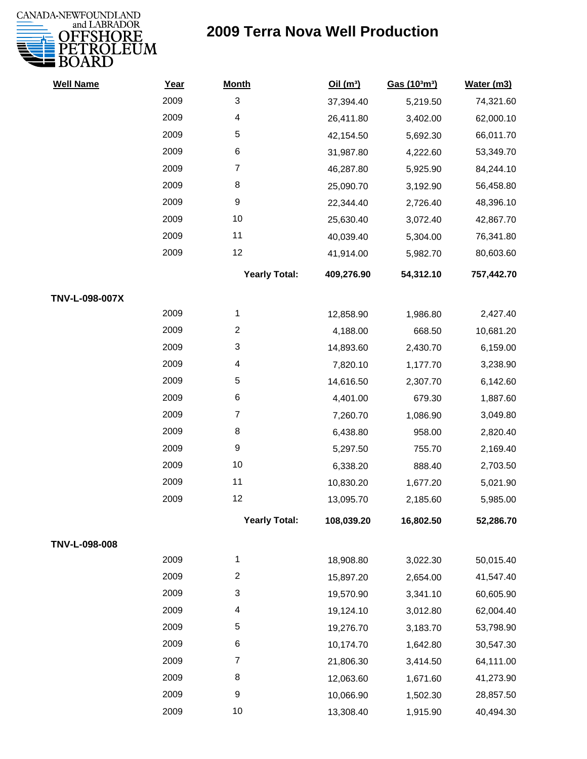

| <b>Well Name</b> | Year | <b>Month</b>         | Oil(m <sup>3</sup> ) | Gas (103m3) | Water (m3) |
|------------------|------|----------------------|----------------------|-------------|------------|
|                  | 2009 | $\sqrt{3}$           | 37,394.40            | 5,219.50    | 74,321.60  |
|                  | 2009 | 4                    | 26,411.80            | 3,402.00    | 62,000.10  |
|                  | 2009 | 5                    | 42,154.50            | 5,692.30    | 66,011.70  |
|                  | 2009 | $\,6$                | 31,987.80            | 4,222.60    | 53,349.70  |
|                  | 2009 | $\overline{7}$       | 46,287.80            | 5,925.90    | 84,244.10  |
|                  | 2009 | 8                    | 25,090.70            | 3,192.90    | 56,458.80  |
|                  | 2009 | 9                    | 22,344.40            | 2,726.40    | 48,396.10  |
|                  | 2009 | 10                   | 25,630.40            | 3,072.40    | 42,867.70  |
|                  | 2009 | 11                   | 40,039.40            | 5,304.00    | 76,341.80  |
|                  | 2009 | 12                   | 41,914.00            | 5,982.70    | 80,603.60  |
|                  |      | <b>Yearly Total:</b> | 409,276.90           | 54,312.10   | 757,442.70 |
| TNV-L-098-007X   |      |                      |                      |             |            |
|                  | 2009 | 1                    | 12,858.90            | 1,986.80    | 2,427.40   |
|                  | 2009 | $\overline{2}$       | 4,188.00             | 668.50      | 10,681.20  |
|                  | 2009 | 3                    | 14,893.60            | 2,430.70    | 6,159.00   |
|                  | 2009 | 4                    | 7,820.10             | 1,177.70    | 3,238.90   |
|                  | 2009 | 5                    | 14,616.50            | 2,307.70    | 6,142.60   |
|                  | 2009 | 6                    | 4,401.00             | 679.30      | 1,887.60   |
|                  | 2009 | $\overline{7}$       | 7,260.70             | 1,086.90    | 3,049.80   |
|                  | 2009 | 8                    | 6,438.80             | 958.00      | 2,820.40   |
|                  | 2009 | 9                    | 5,297.50             | 755.70      | 2,169.40   |
|                  | 2009 | 10                   | 6,338.20             | 888.40      | 2,703.50   |
|                  | 2009 | 11                   | 10,830.20            | 1,677.20    | 5,021.90   |
|                  | 2009 | 12                   | 13,095.70            | 2,185.60    | 5,985.00   |
|                  |      | <b>Yearly Total:</b> | 108,039.20           | 16,802.50   | 52,286.70  |
| TNV-L-098-008    |      |                      |                      |             |            |
|                  | 2009 | 1                    | 18,908.80            | 3,022.30    | 50,015.40  |
|                  | 2009 | $\overline{c}$       | 15,897.20            | 2,654.00    | 41,547.40  |
|                  | 2009 | 3                    | 19,570.90            | 3,341.10    | 60,605.90  |
|                  | 2009 | 4                    | 19,124.10            | 3,012.80    | 62,004.40  |
|                  | 2009 | 5                    | 19,276.70            | 3,183.70    | 53,798.90  |
|                  | 2009 | 6                    | 10,174.70            | 1,642.80    | 30,547.30  |
|                  | 2009 | $\overline{7}$       | 21,806.30            | 3,414.50    | 64,111.00  |
|                  | 2009 | 8                    | 12,063.60            | 1,671.60    | 41,273.90  |
|                  | 2009 | 9                    | 10,066.90            | 1,502.30    | 28,857.50  |
|                  | 2009 | 10                   | 13,308.40            | 1,915.90    | 40,494.30  |